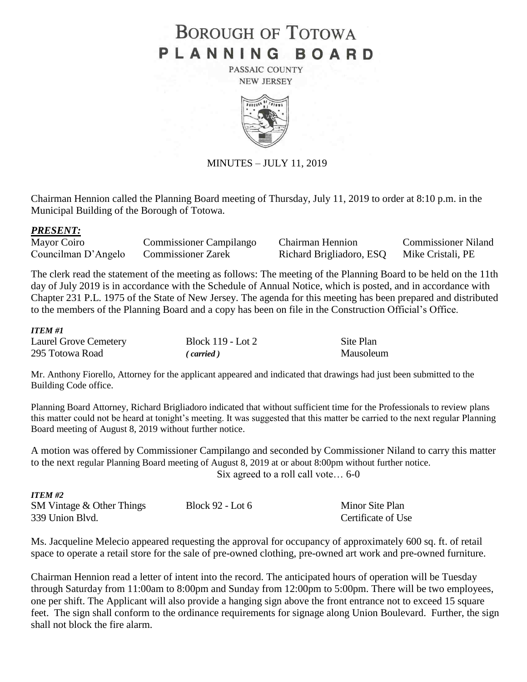# **BOROUGH OF TOTOWA** PLANNING BOARD

PASSAIC COUNTY **NEW JERSEY** 



MINUTES – JULY 11, 2019

Chairman Hennion called the Planning Board meeting of Thursday, July 11, 2019 to order at 8:10 p.m. in the Municipal Building of the Borough of Totowa.

### *PRESENT:*

| Mayor Coiro         | Commissioner Campilango   | Chairman Hennion         | <b>Commissioner Niland</b> |
|---------------------|---------------------------|--------------------------|----------------------------|
| Councilman D'Angelo | <b>Commissioner Zarek</b> | Richard Brigliadoro, ESQ | Mike Cristali, PE          |

The clerk read the statement of the meeting as follows: The meeting of the Planning Board to be held on the 11th day of July 2019 is in accordance with the Schedule of Annual Notice, which is posted, and in accordance with Chapter 231 P.L. 1975 of the State of New Jersey. The agenda for this meeting has been prepared and distributed to the members of the Planning Board and a copy has been on file in the Construction Official's Office.

### *ITEM #1*

| Laurel Grove Cemetery | Block 119 - Lot 2 | Site Plan |
|-----------------------|-------------------|-----------|
| 295 Totowa Road       | (carried)         | Mausoleum |

Mr. Anthony Fiorello, Attorney for the applicant appeared and indicated that drawings had just been submitted to the Building Code office.

Planning Board Attorney, Richard Brigliadoro indicated that without sufficient time for the Professionals to review plans this matter could not be heard at tonight's meeting. It was suggested that this matter be carried to the next regular Planning Board meeting of August 8, 2019 without further notice.

A motion was offered by Commissioner Campilango and seconded by Commissioner Niland to carry this matter to the next regular Planning Board meeting of August 8, 2019 at or about 8:00pm without further notice. Six agreed to a roll call vote… 6-0

| <b>ITEM #2</b>                 |                  |                    |
|--------------------------------|------------------|--------------------|
| $SM$ Vintage $\&$ Other Things | Block 92 - Lot 6 | Minor Site Plan    |
| 339 Union Blvd.                |                  | Certificate of Use |

Ms. Jacqueline Melecio appeared requesting the approval for occupancy of approximately 600 sq. ft. of retail space to operate a retail store for the sale of pre-owned clothing, pre-owned art work and pre-owned furniture.

Chairman Hennion read a letter of intent into the record. The anticipated hours of operation will be Tuesday through Saturday from 11:00am to 8:00pm and Sunday from 12:00pm to 5:00pm. There will be two employees, one per shift. The Applicant will also provide a hanging sign above the front entrance not to exceed 15 square feet. The sign shall conform to the ordinance requirements for signage along Union Boulevard. Further, the sign shall not block the fire alarm.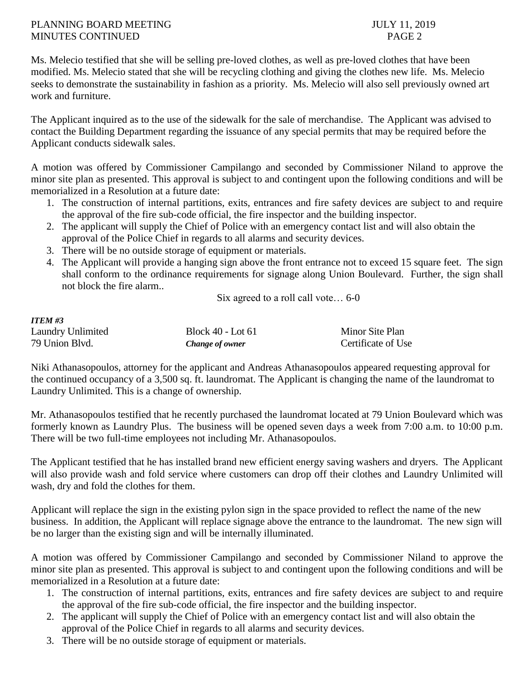## PLANNING BOARD MEETING 3019 MINUTES CONTINUED PAGE 2

Ms. Melecio testified that she will be selling pre-loved clothes, as well as pre-loved clothes that have been modified. Ms. Melecio stated that she will be recycling clothing and giving the clothes new life. Ms. Melecio seeks to demonstrate the sustainability in fashion as a priority. Ms. Melecio will also sell previously owned art work and furniture.

The Applicant inquired as to the use of the sidewalk for the sale of merchandise. The Applicant was advised to contact the Building Department regarding the issuance of any special permits that may be required before the Applicant conducts sidewalk sales.

A motion was offered by Commissioner Campilango and seconded by Commissioner Niland to approve the minor site plan as presented. This approval is subject to and contingent upon the following conditions and will be memorialized in a Resolution at a future date:

- 1. The construction of internal partitions, exits, entrances and fire safety devices are subject to and require the approval of the fire sub-code official, the fire inspector and the building inspector.
- 2. The applicant will supply the Chief of Police with an emergency contact list and will also obtain the approval of the Police Chief in regards to all alarms and security devices.
- 3. There will be no outside storage of equipment or materials.
- 4. The Applicant will provide a hanging sign above the front entrance not to exceed 15 square feet. The sign shall conform to the ordinance requirements for signage along Union Boulevard. Further, the sign shall not block the fire alarm..

Six agreed to a roll call vote… 6-0

| <b>ITEM #3</b>    |                   |                    |
|-------------------|-------------------|--------------------|
| Laundry Unlimited | Block 40 - Lot 61 | Minor Site Plan    |
| 79 Union Blvd.    | Change of owner   | Certificate of Use |

Niki Athanasopoulos, attorney for the applicant and Andreas Athanasopoulos appeared requesting approval for the continued occupancy of a 3,500 sq. ft. laundromat. The Applicant is changing the name of the laundromat to Laundry Unlimited. This is a change of ownership.

Mr. Athanasopoulos testified that he recently purchased the laundromat located at 79 Union Boulevard which was formerly known as Laundry Plus. The business will be opened seven days a week from 7:00 a.m. to 10:00 p.m. There will be two full-time employees not including Mr. Athanasopoulos.

The Applicant testified that he has installed brand new efficient energy saving washers and dryers. The Applicant will also provide wash and fold service where customers can drop off their clothes and Laundry Unlimited will wash, dry and fold the clothes for them.

Applicant will replace the sign in the existing pylon sign in the space provided to reflect the name of the new business. In addition, the Applicant will replace signage above the entrance to the laundromat. The new sign will be no larger than the existing sign and will be internally illuminated.

A motion was offered by Commissioner Campilango and seconded by Commissioner Niland to approve the minor site plan as presented. This approval is subject to and contingent upon the following conditions and will be memorialized in a Resolution at a future date:

- 1. The construction of internal partitions, exits, entrances and fire safety devices are subject to and require the approval of the fire sub-code official, the fire inspector and the building inspector.
- 2. The applicant will supply the Chief of Police with an emergency contact list and will also obtain the approval of the Police Chief in regards to all alarms and security devices.
- 3. There will be no outside storage of equipment or materials.